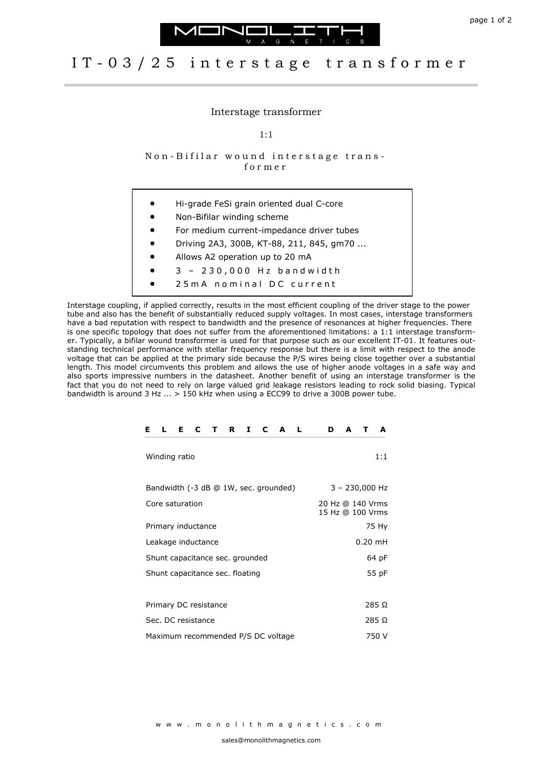



## I T - 0 3 / 2 5 i n t e r s t a g e t r a n s f o r m e r

## Interstage transformer

1:1

Non-Bifilar wound interstage transf o r m e r

- Hi-grade FeSi grain oriented dual C-core
- Non-Bifilar winding scheme
- For medium current-impedance driver tubes
- Driving 2A3, 300B, KT-88, 211, 845, gm70 ...
- Allows A2 operation up to 20 mA
- 3 2 3 0 , 0 0 0 H z b a n d w i d t h
- 25 m A nominal DC current

Interstage coupling, if applied correctly, results in the most efficient coupling of the driver stage to the power tube and also has the benefit of substantially reduced supply voltages. In most cases, interstage transformers have a bad reputation with respect to bandwidth and the presence of resonances at higher frequencies. There is one specific topology that does not suffer from the aforementioned limitations: a 1:1 interstage transformer. Typically, a bifilar wound transformer is used for that purpose such as our excellent IT-01. It features outstanding technical performance with stellar frequency response but there is a limit with respect to the anode voltage that can be applied at the primary side because the P/S wires being close together over a substantial length. This model circumvents this problem and allows the use of higher anode voltages in a safe way and also sports impressive numbers in the datasheet. Another benefit of using an interstage transformer is the fact that you do not need to rely on large valued grid leakage resistors leading to rock solid biasing. Typical bandwidth is around 3 Hz ... > 150 kHz when using a ECC99 to drive a 300B power tube.

| L.<br>E.<br>C<br>T R<br>$I \quad C$<br>Е<br>A<br>-L | A<br>A<br>D<br>т                     |
|-----------------------------------------------------|--------------------------------------|
| Winding ratio                                       | 1:1                                  |
| Bandwidth (-3 dB @ 1W, sec. grounded)               | $3 - 230,000$ Hz                     |
| Core saturation                                     | 20 Hz @ 140 Vrms<br>15 Hz @ 100 Vrms |
| Primary inductance                                  | 75 Hy                                |
| Leakage inductance                                  | $0.20$ mH                            |
| Shunt capacitance sec. grounded                     | 64 pF                                |
| Shunt capacitance sec. floating                     | 55 pF                                |
|                                                     |                                      |
| Primary DC resistance                               | 285 Ω                                |
| Sec. DC resistance                                  | 285 Ω                                |
| Maximum recommended P/S DC voltage                  | 750 V                                |

w w w . m o n o l i t h m a g n e t i c s . c o m